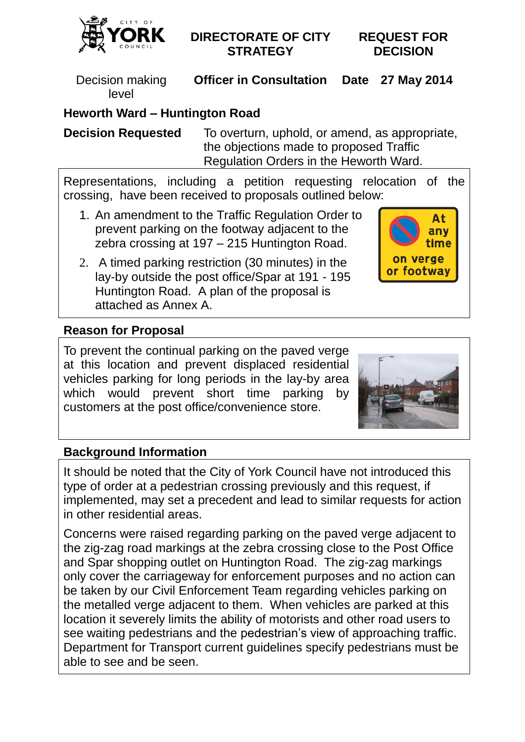

### **DIRECTORATE OF CITY STRATEGY**

**REQUEST FOR DECISION**

Decision making level

**Officer in Consultation Date 27 May 2014**

# **Heworth Ward – Huntington Road**

**Decision Requested** To overturn, uphold, or amend, as appropriate, the objections made to proposed Traffic Regulation Orders in the Heworth Ward.

Representations, including a petition requesting relocation of the crossing, have been received to proposals outlined below:

- 1. An amendment to the Traffic Regulation Order to prevent parking on the footway adjacent to the zebra crossing at 197 – 215 Huntington Road.
- 2. A timed parking restriction (30 minutes) in the lay-by outside the post office/Spar at 191 - 195 Huntington Road. A plan of the proposal is attached as Annex A.



### **Reason for Proposal**

To prevent the continual parking on the paved verge at this location and prevent displaced residential vehicles parking for long periods in the lay-by area which would prevent short time parking by customers at the post office/convenience store.



### **Background Information**

It should be noted that the City of York Council have not introduced this type of order at a pedestrian crossing previously and this request, if implemented, may set a precedent and lead to similar requests for action in other residential areas.

Concerns were raised regarding parking on the paved verge adjacent to the zig-zag road markings at the zebra crossing close to the Post Office and Spar shopping outlet on Huntington Road. The zig-zag markings only cover the carriageway for enforcement purposes and no action can be taken by our Civil Enforcement Team regarding vehicles parking on the metalled verge adjacent to them. When vehicles are parked at this location it severely limits the ability of motorists and other road users to see waiting pedestrians and the pedestrian's view of approaching traffic. Department for Transport current guidelines specify pedestrians must be able to see and be seen.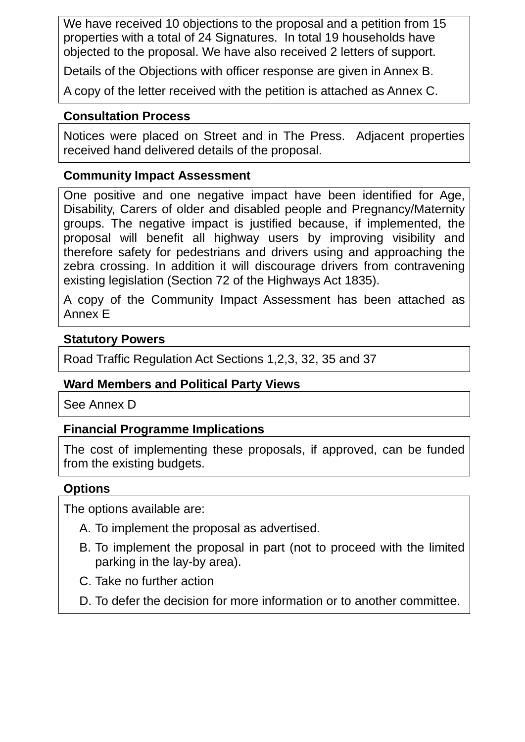We have received 10 objections to the proposal and a petition from 15 properties with a total of 24 Signatures. In total 19 households have objected to the proposal. We have also received 2 letters of support.

Details of the Objections with officer response are given in Annex B.

A copy of the letter received with the petition is attached as Annex C.

#### **Consultation Process**

Notices were placed on Street and in The Press. Adjacent properties received hand delivered details of the proposal.

#### **Community Impact Assessment**

One positive and one negative impact have been identified for Age, Disability, Carers of older and disabled people and Pregnancy/Maternity groups. The negative impact is justified because, if implemented, the proposal will benefit all highway users by improving visibility and therefore safety for pedestrians and drivers using and approaching the zebra crossing. In addition it will discourage drivers from contravening existing legislation (Section 72 of the Highways Act 1835).

A copy of the Community Impact Assessment has been attached as Annex E

#### **Statutory Powers**

Road Traffic Regulation Act Sections 1,2,3, 32, 35 and 37

#### **Ward Members and Political Party Views**

See Annex D

#### **Financial Programme Implications**

The cost of implementing these proposals, if approved, can be funded from the existing budgets.

#### **Options**

The options available are:

- A. To implement the proposal as advertised.
- B. To implement the proposal in part (not to proceed with the limited parking in the lay-by area).
- C. Take no further action
- D. To defer the decision for more information or to another committee.